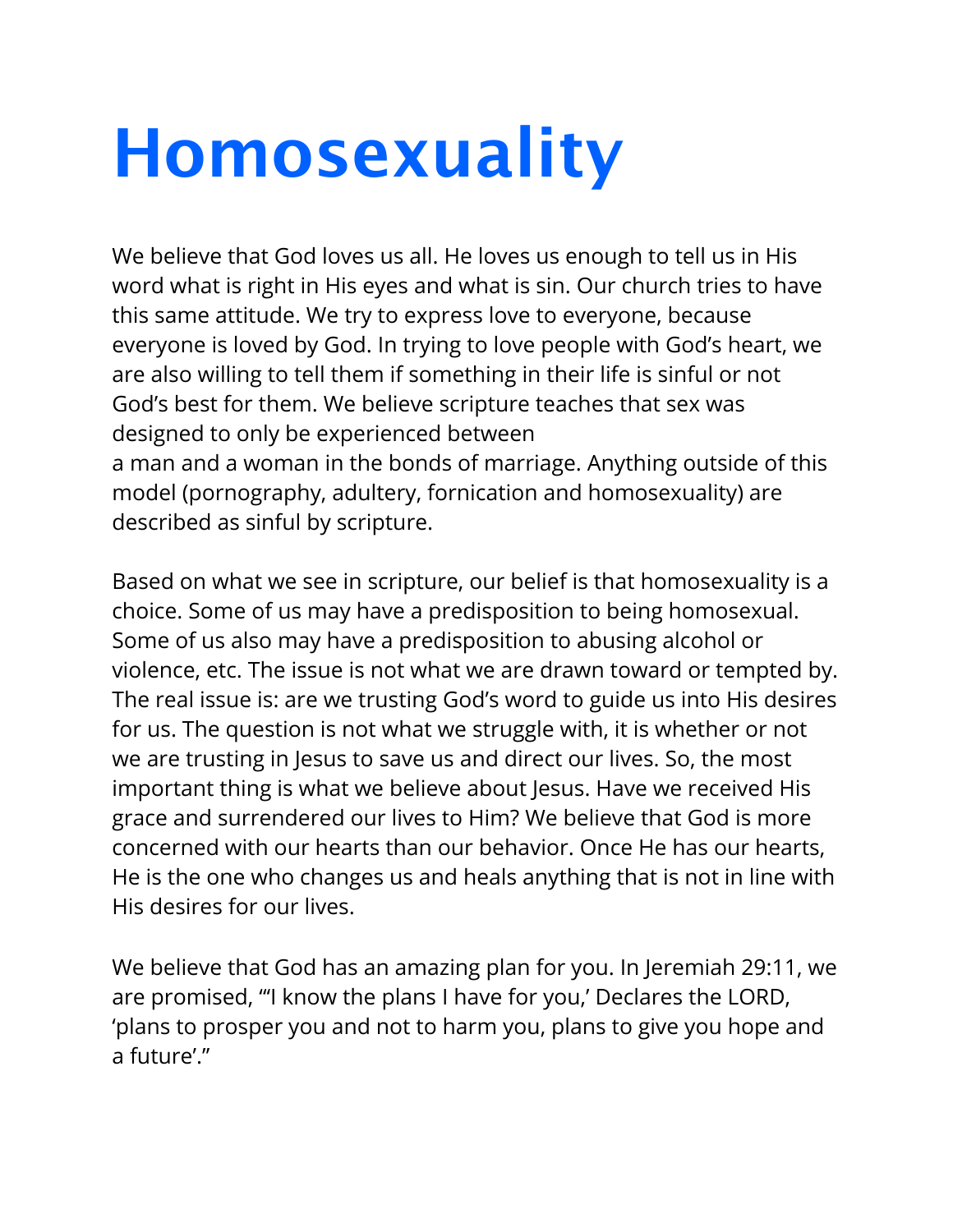## **Homosexuality**

We believe that God loves us all. He loves us enough to tell us in His word what is right in His eyes and what is sin. Our church tries to have this same attitude. We try to express love to everyone, because everyone is loved by God. In trying to love people with God's heart, we are also willing to tell them if something in their life is sinful or not God's best for them. We believe scripture teaches that sex was designed to only be experienced between a man and a woman in the bonds of marriage. Anything outside of this model (pornography, adultery, fornication and homosexuality) are described as sinful by scripture.

Based on what we see in scripture, our belief is that homosexuality is a choice. Some of us may have a predisposition to being homosexual. Some of us also may have a predisposition to abusing alcohol or violence, etc. The issue is not what we are drawn toward or tempted by. The real issue is: are we trusting God's word to guide us into His desires for us. The question is not what we struggle with, it is whether or not we are trusting in Jesus to save us and direct our lives. So, the most important thing is what we believe about Jesus. Have we received His grace and surrendered our lives to Him? We believe that God is more concerned with our hearts than our behavior. Once He has our hearts, He is the one who changes us and heals anything that is not in line with His desires for our lives.

We believe that God has an amazing plan for you. In Jeremiah 29:11, we are promised, "'I know the plans I have for you,' Declares the LORD, 'plans to prosper you and not to harm you, plans to give you hope and a future'."